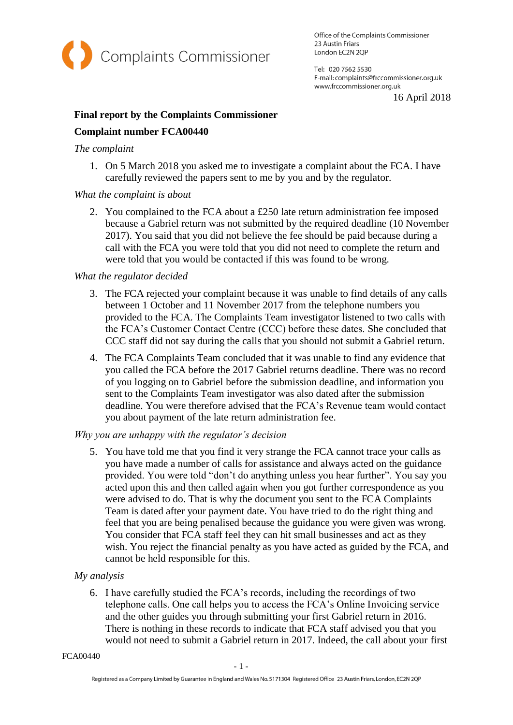

Office of the Complaints Commissioner 23 Austin Friars London EC2N 2QP

Tel: 020 7562 5530 E-mail: complaints@frccommissioner.org.uk www.frccommissioner.org.uk

16 April 2018

# **Final report by the Complaints Commissioner Complaint number FCA00440**

### *The complaint*

1. On 5 March 2018 you asked me to investigate a complaint about the FCA. I have carefully reviewed the papers sent to me by you and by the regulator.

## *What the complaint is about*

2. You complained to the FCA about a £250 late return administration fee imposed because a Gabriel return was not submitted by the required deadline (10 November 2017). You said that you did not believe the fee should be paid because during a call with the FCA you were told that you did not need to complete the return and were told that you would be contacted if this was found to be wrong.

#### *What the regulator decided*

- 3. The FCA rejected your complaint because it was unable to find details of any calls between 1 October and 11 November 2017 from the telephone numbers you provided to the FCA. The Complaints Team investigator listened to two calls with the FCA's Customer Contact Centre (CCC) before these dates. She concluded that CCC staff did not say during the calls that you should not submit a Gabriel return.
- 4. The FCA Complaints Team concluded that it was unable to find any evidence that you called the FCA before the 2017 Gabriel returns deadline. There was no record of you logging on to Gabriel before the submission deadline, and information you sent to the Complaints Team investigator was also dated after the submission deadline. You were therefore advised that the FCA's Revenue team would contact you about payment of the late return administration fee.

## *Why you are unhappy with the regulator's decision*

5. You have told me that you find it very strange the FCA cannot trace your calls as you have made a number of calls for assistance and always acted on the guidance provided. You were told "don't do anything unless you hear further". You say you acted upon this and then called again when you got further correspondence as you were advised to do. That is why the document you sent to the FCA Complaints Team is dated after your payment date. You have tried to do the right thing and feel that you are being penalised because the guidance you were given was wrong. You consider that FCA staff feel they can hit small businesses and act as they wish. You reject the financial penalty as you have acted as guided by the FCA, and cannot be held responsible for this.

## *My analysis*

6. I have carefully studied the FCA's records, including the recordings of two telephone calls. One call helps you to access the FCA's Online Invoicing service and the other guides you through submitting your first Gabriel return in 2016. There is nothing in these records to indicate that FCA staff advised you that you would not need to submit a Gabriel return in 2017. Indeed, the call about your first

FCA00440